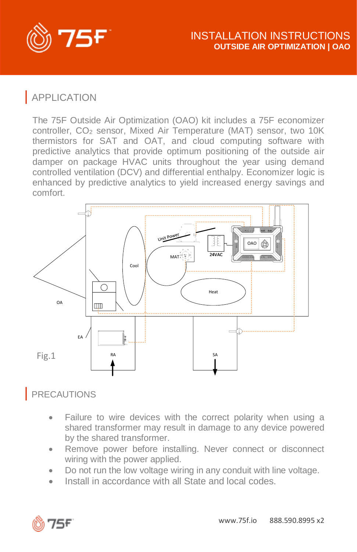

# | APPLICATION

The 75F Outside Air Optimization (OAO) kit includes a 75F economizer controller, CO<sub>2</sub> sensor, Mixed Air Temperature (MAT) sensor, two 10K thermistors for SAT and OAT, and cloud computing software with predictive analytics that provide optimum positioning of the outside air damper on package HVAC units throughout the year using demand controlled ventilation (DCV) and differential enthalpy. Economizer logic is enhanced by predictive analytics to yield increased energy savings and comfort.



### | PRECAUTIONS

- Failure to wire devices with the correct polarity when using a shared transformer may result in damage to any device powered by the shared transformer.
- Remove power before installing. Never connect or disconnect wiring with the power applied.
- Do not run the low voltage wiring in any conduit with line voltage.
- Install in accordance with all State and local codes.

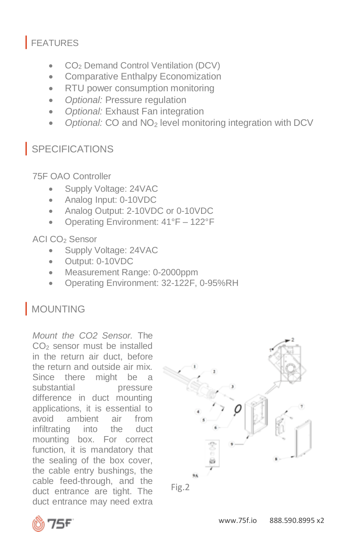# | FEATURES

- CO<sup>2</sup> Demand Control Ventilation (DCV)
- Comparative Enthalpy Economization
- RTU power consumption monitoring
- *Optional:* Pressure regulation
- *Optional:* Exhaust Fan integration
- *Optional:* CO and NO<sup>2</sup> level monitoring integration with DCV

# | SPECIFICATIONS

75F OAO Controller

- Supply Voltage: 24VAC
- Analog Input: 0-10VDC
- Analog Output: 2-10VDC or 0-10VDC
- Operating Environment: 41°F 122°F

#### ACI CO<sub>2</sub> Sensor

- Supply Voltage: 24VAC
- Output: 0-10VDC
- Measurement Range: 0-2000ppm
- Operating Environment: 32-122F, 0-95%RH

# | MOUNTING

*Mount the CO2 Sensor.* The CO<sub>2</sub> sensor must be installed in the return air duct, before the return and outside air mix. Since there might be a substantial pressure difference in duct mounting applications, it is essential to avoid ambient air from infiltrating into the duct mounting box. For correct function, it is mandatory that the sealing of the box cover, the cable entry bushings, the cable feed-through, and the duct entrance are tight. The duct entrance may need extra



Fig.2

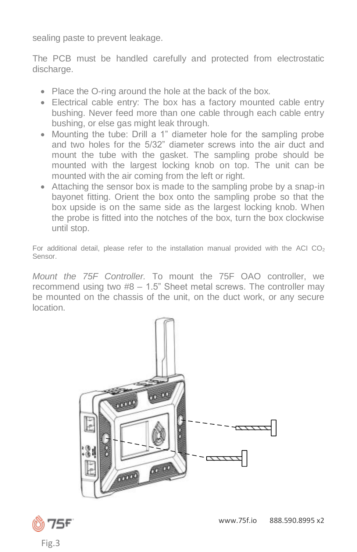sealing paste to prevent leakage.

The PCB must be handled carefully and protected from electrostatic discharge.

- Place the O-ring around the hole at the back of the box.
- Electrical cable entry: The box has a factory mounted cable entry bushing. Never feed more than one cable through each cable entry bushing, or else gas might leak through.
- Mounting the tube: Drill a 1" diameter hole for the sampling probe and two holes for the 5/32" diameter screws into the air duct and mount the tube with the gasket. The sampling probe should be mounted with the largest locking knob on top. The unit can be mounted with the air coming from the left or right.
- Attaching the sensor box is made to the sampling probe by a snap-in bayonet fitting. Orient the box onto the sampling probe so that the box upside is on the same side as the largest locking knob. When the probe is fitted into the notches of the box, turn the box clockwise until stop.

For additional detail, please refer to the installation manual provided with the ACI  $CO<sub>2</sub>$ Sensor.

*Mount the 75F Controller.* To mount the 75F OAO controller, we recommend using two #8 – 1.5" Sheet metal screws. The controller may be mounted on the chassis of the unit, on the duct work, or any secure location.



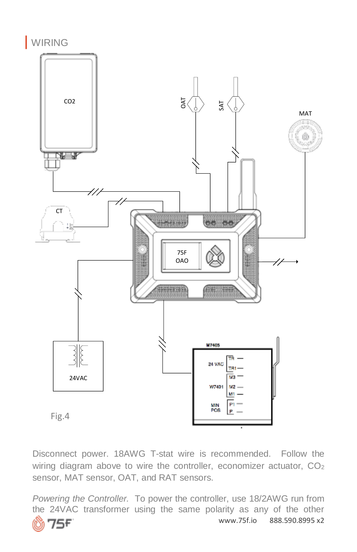

Disconnect power. 18AWG T-stat wire is recommended. Follow the wiring diagram above to wire the controller, economizer actuator, CO<sub>2</sub> sensor, MAT sensor, OAT, and RAT sensors.

*Powering the Controller.* To power the controller, use 18/2AWG run from the 24VAC transformer using the same polarity as any of the other www.75f.io 888.590.8995 x2 ۴.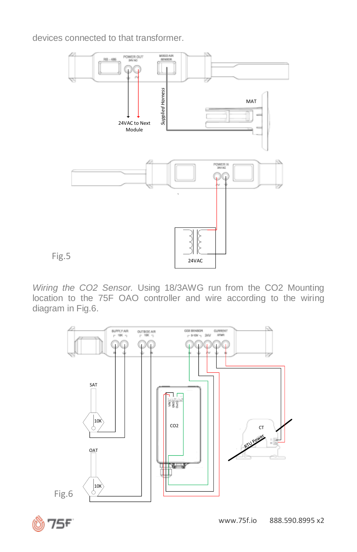devices connected to that transformer.



*Wiring the CO2 Sensor.* Using 18/3AWG run from the CO2 Mounting location to the 75F OAO controller and wire according to the wiring diagram in Fig.6.



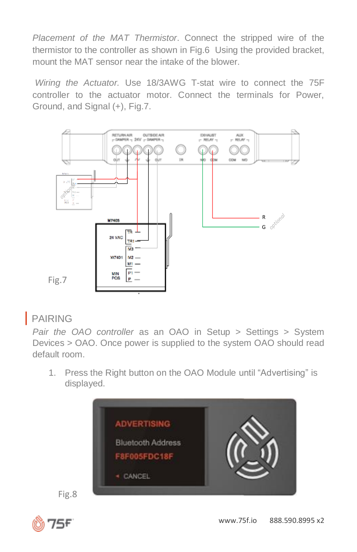*Placement of the MAT Thermistor*. Connect the stripped wire of the thermistor to the controller as shown in Fig.6 Using the provided bracket, mount the MAT sensor near the intake of the blower.

*Wiring the Actuator.* Use 18/3AWG T-stat wire to connect the 75F controller to the actuator motor. Connect the terminals for Power, Ground, and Signal (+), Fig.7.



### | PAIRING

*Pair the OAO controller* as an OAO in Setup > Settings > System Devices > OAO. Once power is supplied to the system OAO should read default room.

1. Press the Right button on the OAO Module until "Advertising" is displayed.





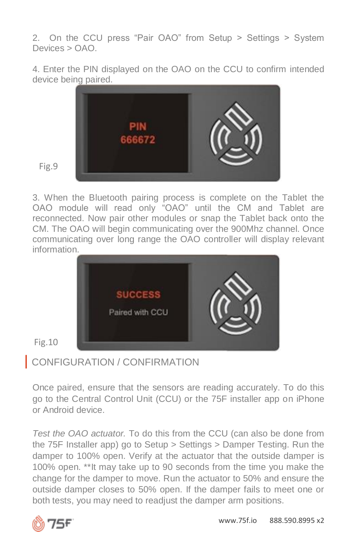2. On the CCU press "Pair OAO" from Setup > Settings > System Devices > OAO.

4. Enter the PIN displayed on the OAO on the CCU to confirm intended device being paired.



Fig.9

3. When the Bluetooth pairing process is complete on the Tablet the OAO module will read only "OAO" until the CM and Tablet are reconnected. Now pair other modules or snap the Tablet back onto the CM. The OAO will begin communicating over the 900Mhz channel. Once communicating over long range the OAO controller will display relevant information.



Fig.10

## | CONFIGURATION / CONFIRMATION

Once paired, ensure that the sensors are reading accurately. To do this go to the Central Control Unit (CCU) or the 75F installer app on iPhone or Android device.

*Test the OAO actuator.* To do this from the CCU (can also be done from the 75F Installer app) go to Setup > Settings > Damper Testing. Run the damper to 100% open. Verify at the actuator that the outside damper is 100% open. \*\*It may take up to 90 seconds from the time you make the change for the damper to move. Run the actuator to 50% and ensure the outside damper closes to 50% open. If the damper fails to meet one or both tests, you may need to readjust the damper arm positions.